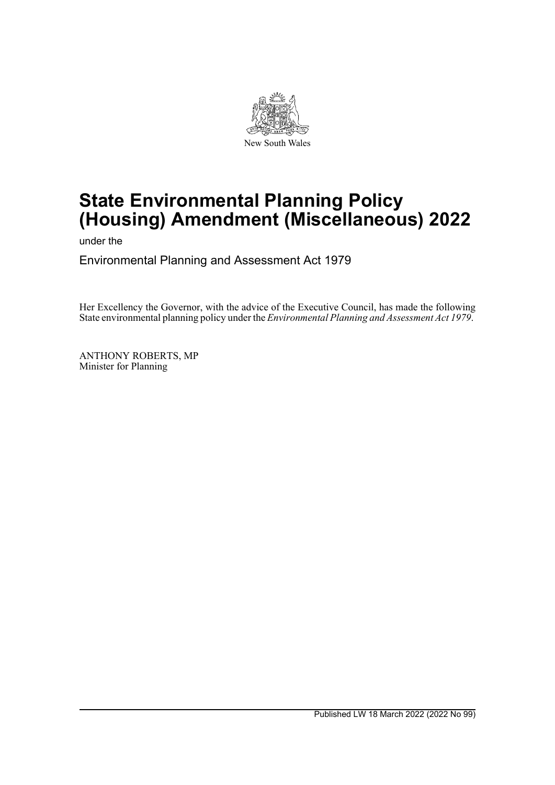

# **State Environmental Planning Policy (Housing) Amendment (Miscellaneous) 2022**

under the

Environmental Planning and Assessment Act 1979

Her Excellency the Governor, with the advice of the Executive Council, has made the following State environmental planning policy under the *Environmental Planning and Assessment Act 1979*.

ANTHONY ROBERTS, MP Minister for Planning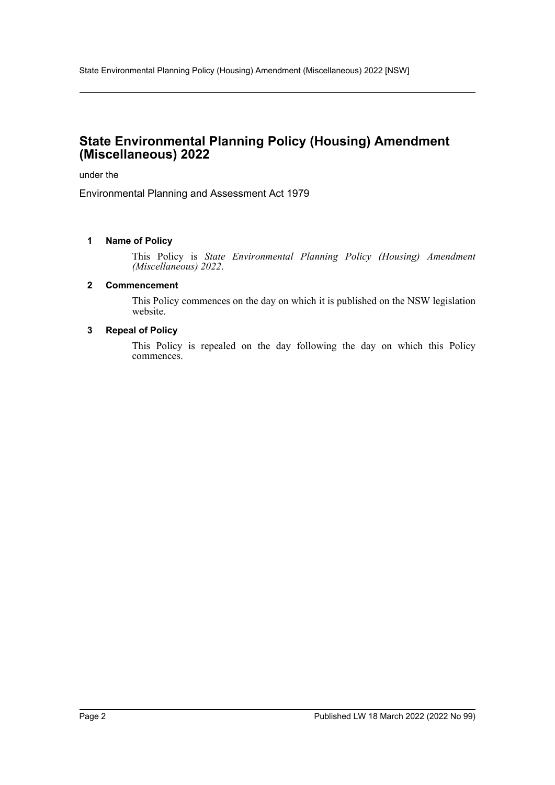# **State Environmental Planning Policy (Housing) Amendment (Miscellaneous) 2022**

under the

Environmental Planning and Assessment Act 1979

#### **1 Name of Policy**

This Policy is *State Environmental Planning Policy (Housing) Amendment (Miscellaneous) 2022*.

#### **2 Commencement**

This Policy commences on the day on which it is published on the NSW legislation website.

#### **3 Repeal of Policy**

This Policy is repealed on the day following the day on which this Policy commences.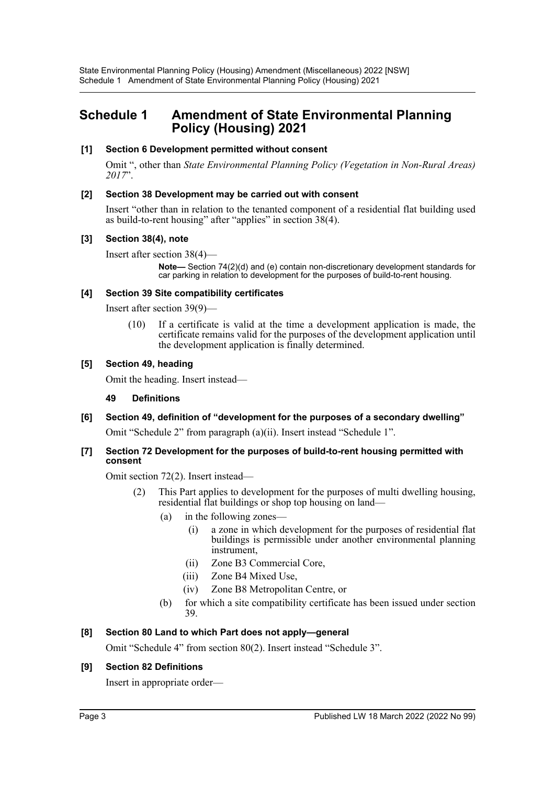# **Schedule 1 Amendment of State Environmental Planning Policy (Housing) 2021**

# **[1] Section 6 Development permitted without consent**

Omit ", other than *State Environmental Planning Policy (Vegetation in Non-Rural Areas) 2017*".

#### **[2] Section 38 Development may be carried out with consent**

Insert "other than in relation to the tenanted component of a residential flat building used as build-to-rent housing" after "applies" in section 38(4).

#### **[3] Section 38(4), note**

Insert after section 38(4)—

**Note—** Section 74(2)(d) and (e) contain non-discretionary development standards for car parking in relation to development for the purposes of build-to-rent housing.

#### **[4] Section 39 Site compatibility certificates**

Insert after section 39(9)—

(10) If a certificate is valid at the time a development application is made, the certificate remains valid for the purposes of the development application until the development application is finally determined.

#### **[5] Section 49, heading**

Omit the heading. Insert instead—

#### **49 Definitions**

# **[6] Section 49, definition of "development for the purposes of a secondary dwelling"**

Omit "Schedule 2" from paragraph (a)(ii). Insert instead "Schedule 1".

#### **[7] Section 72 Development for the purposes of build-to-rent housing permitted with consent**

Omit section 72(2). Insert instead—

- (2) This Part applies to development for the purposes of multi dwelling housing, residential flat buildings or shop top housing on land—
	- (a) in the following zones—
		- (i) a zone in which development for the purposes of residential flat buildings is permissible under another environmental planning instrument,
		- (ii) Zone B3 Commercial Core,
		- (iii) Zone B4 Mixed Use,
		- (iv) Zone B8 Metropolitan Centre, or
	- (b) for which a site compatibility certificate has been issued under section 39.

# **[8] Section 80 Land to which Part does not apply—general**

Omit "Schedule 4" from section 80(2). Insert instead "Schedule 3".

# **[9] Section 82 Definitions**

Insert in appropriate order—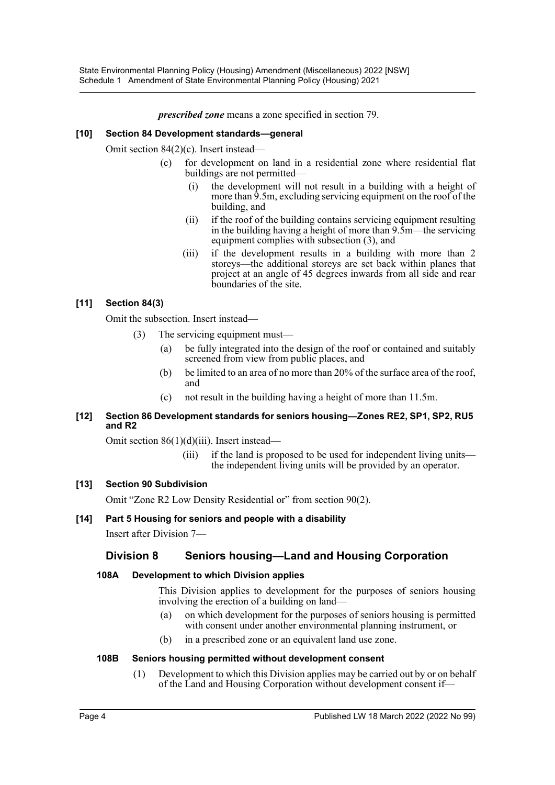State Environmental Planning Policy (Housing) Amendment (Miscellaneous) 2022 [NSW] Schedule 1 Amendment of State Environmental Planning Policy (Housing) 2021

*prescribed zone* means a zone specified in section 79.

# **[10] Section 84 Development standards—general**

Omit section 84(2)(c). Insert instead—

- (c) for development on land in a residential zone where residential flat buildings are not permitted—
	- (i) the development will not result in a building with a height of more than 9.5m, excluding servicing equipment on the roof of the building, and
	- (ii) if the roof of the building contains servicing equipment resulting in the building having a height of more than 9.5m—the servicing equipment complies with subsection (3), and
	- (iii) if the development results in a building with more than 2 storeys—the additional storeys are set back within planes that project at an angle of 45 degrees inwards from all side and rear boundaries of the site.

# **[11] Section 84(3)**

Omit the subsection. Insert instead—

- (3) The servicing equipment must—
	- (a) be fully integrated into the design of the roof or contained and suitably screened from view from public places, and
	- (b) be limited to an area of no more than 20% of the surface area of the roof, and
	- (c) not result in the building having a height of more than 11.5m.

# **[12] Section 86 Development standards for seniors housing—Zones RE2, SP1, SP2, RU5 and R2**

Omit section 86(1)(d)(iii). Insert instead—

(iii) if the land is proposed to be used for independent living units the independent living units will be provided by an operator.

# **[13] Section 90 Subdivision**

Omit "Zone R2 Low Density Residential or" from section 90(2).

# **[14] Part 5 Housing for seniors and people with a disability**

Insert after Division 7—

# **Division 8 Seniors housing—Land and Housing Corporation**

#### **108A Development to which Division applies**

This Division applies to development for the purposes of seniors housing involving the erection of a building on land—

- (a) on which development for the purposes of seniors housing is permitted with consent under another environmental planning instrument, or
- (b) in a prescribed zone or an equivalent land use zone.

#### **108B Seniors housing permitted without development consent**

(1) Development to which this Division applies may be carried out by or on behalf of the Land and Housing Corporation without development consent if—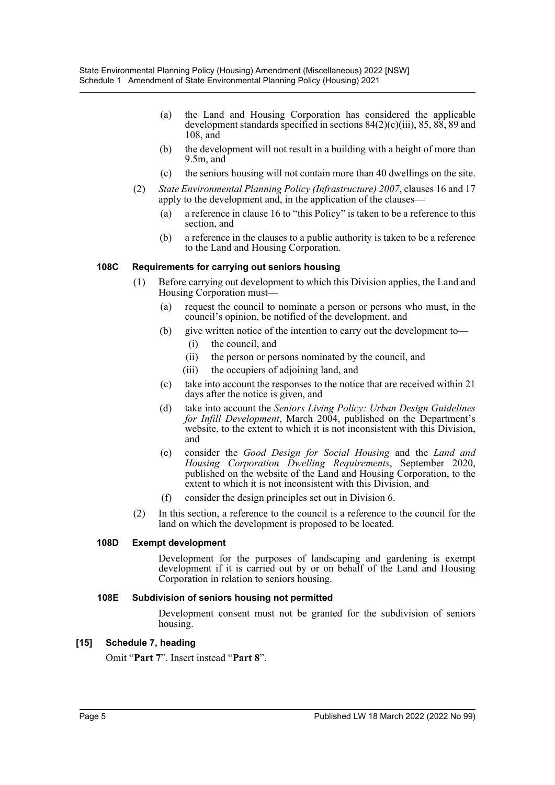- (a) the Land and Housing Corporation has considered the applicable development standards specified in sections  $84(2)(c)(iii)$ ,  $85, 88, 89$  and 108, and
- (b) the development will not result in a building with a height of more than 9.5m, and
- (c) the seniors housing will not contain more than 40 dwellings on the site.
- (2) *State Environmental Planning Policy (Infrastructure) 2007*, clauses 16 and 17 apply to the development and, in the application of the clauses—
	- (a) a reference in clause 16 to "this Policy" is taken to be a reference to this section, and
	- (b) a reference in the clauses to a public authority is taken to be a reference to the Land and Housing Corporation.

#### **108C Requirements for carrying out seniors housing**

- (1) Before carrying out development to which this Division applies, the Land and Housing Corporation must—
	- (a) request the council to nominate a person or persons who must, in the council's opinion, be notified of the development, and
	- (b) give written notice of the intention to carry out the development to—
		- (i) the council, and
		- (ii) the person or persons nominated by the council, and
		- (iii) the occupiers of adjoining land, and
	- (c) take into account the responses to the notice that are received within 21 days after the notice is given, and
	- (d) take into account the *Seniors Living Policy: Urban Design Guidelines for Infill Development*, March 2004, published on the Department's website, to the extent to which it is not inconsistent with this Division, and
	- (e) consider the *Good Design for Social Housing* and the *Land and Housing Corporation Dwelling Requirements*, September 2020, published on the website of the Land and Housing Corporation, to the extent to which it is not inconsistent with this Division, and
	- (f) consider the design principles set out in Division 6.
- (2) In this section, a reference to the council is a reference to the council for the land on which the development is proposed to be located.

#### **108D Exempt development**

Development for the purposes of landscaping and gardening is exempt development if it is carried out by or on behalf of the Land and Housing Corporation in relation to seniors housing.

#### **108E Subdivision of seniors housing not permitted**

Development consent must not be granted for the subdivision of seniors housing.

#### **[15] Schedule 7, heading**

Omit "**Part 7**". Insert instead "**Part 8**".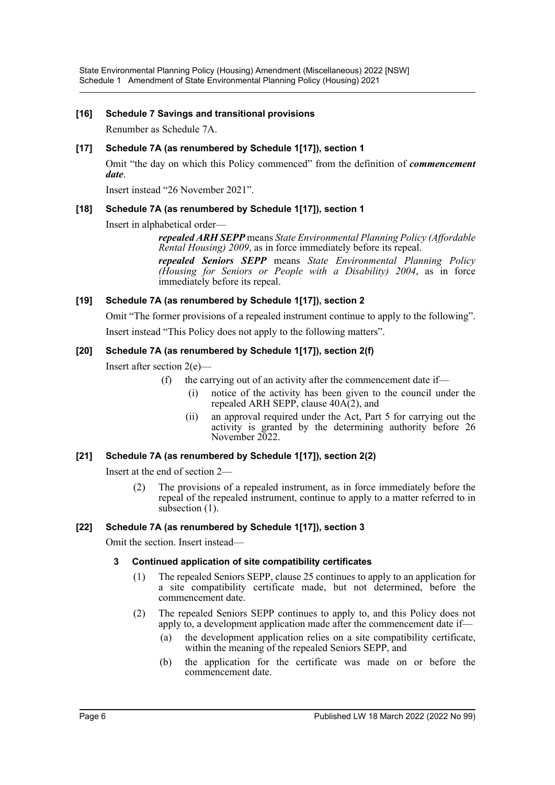State Environmental Planning Policy (Housing) Amendment (Miscellaneous) 2022 [NSW] Schedule 1 Amendment of State Environmental Planning Policy (Housing) 2021

#### **[16] Schedule 7 Savings and transitional provisions**

Renumber as Schedule 7A.

#### **[17] Schedule 7A (as renumbered by Schedule 1[17]), section 1**

Omit "the day on which this Policy commenced" from the definition of *commencement date*.

Insert instead "26 November 2021".

#### **[18] Schedule 7A (as renumbered by Schedule 1[17]), section 1**

Insert in alphabetical order—

*repealed ARH SEPP* means *State Environmental Planning Policy (Affordable Rental Housing) 2009*, as in force immediately before its repeal.

*repealed Seniors SEPP* means *State Environmental Planning Policy (Housing for Seniors or People with a Disability) 2004*, as in force immediately before its repeal.

#### **[19] Schedule 7A (as renumbered by Schedule 1[17]), section 2**

Omit "The former provisions of a repealed instrument continue to apply to the following". Insert instead "This Policy does not apply to the following matters".

#### **[20] Schedule 7A (as renumbered by Schedule 1[17]), section 2(f)**

Insert after section 2(e)—

- (f) the carrying out of an activity after the commencement date if—
	- (i) notice of the activity has been given to the council under the repealed ARH SEPP, clause  $40A(2)$ , and
	- (ii) an approval required under the Act, Part 5 for carrying out the activity is granted by the determining authority before 26 November 2022.

#### **[21] Schedule 7A (as renumbered by Schedule 1[17]), section 2(2)**

Insert at the end of section 2—

(2) The provisions of a repealed instrument, as in force immediately before the repeal of the repealed instrument, continue to apply to a matter referred to in subsection (1).

#### **[22] Schedule 7A (as renumbered by Schedule 1[17]), section 3**

Omit the section. Insert instead—

# **3 Continued application of site compatibility certificates**

- (1) The repealed Seniors SEPP, clause 25 continues to apply to an application for a site compatibility certificate made, but not determined, before the commencement date.
- (2) The repealed Seniors SEPP continues to apply to, and this Policy does not apply to, a development application made after the commencement date if—
	- (a) the development application relies on a site compatibility certificate, within the meaning of the repealed Seniors SEPP, and
	- (b) the application for the certificate was made on or before the commencement date.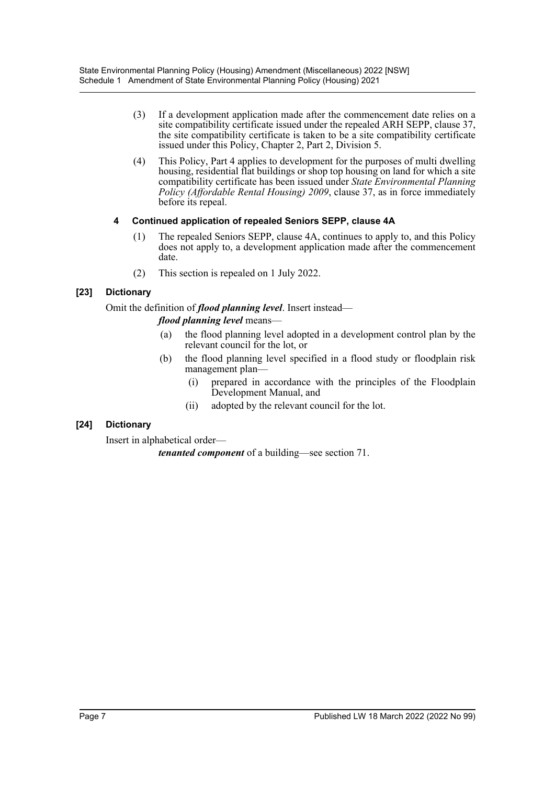- (3) If a development application made after the commencement date relies on a site compatibility certificate issued under the repealed ARH SEPP, clause 37, the site compatibility certificate is taken to be a site compatibility certificate issued under this Policy, Chapter 2, Part 2, Division 5.
- (4) This Policy, Part 4 applies to development for the purposes of multi dwelling housing, residential flat buildings or shop top housing on land for which a site compatibility certificate has been issued under *State Environmental Planning Policy (Affordable Rental Housing) 2009*, clause 37, as in force immediately before its repeal.

# **4 Continued application of repealed Seniors SEPP, clause 4A**

- (1) The repealed Seniors SEPP, clause 4A, continues to apply to, and this Policy does not apply to, a development application made after the commencement date.
- (2) This section is repealed on 1 July 2022.

# **[23] Dictionary**

Omit the definition of *flood planning level*. Insert instead—

# *flood planning level* means—

- (a) the flood planning level adopted in a development control plan by the relevant council for the lot, or
- (b) the flood planning level specified in a flood study or floodplain risk management plan—
	- (i) prepared in accordance with the principles of the Floodplain Development Manual, and
	- (ii) adopted by the relevant council for the lot.

# **[24] Dictionary**

Insert in alphabetical order—

*tenanted component* of a building—see section 71.